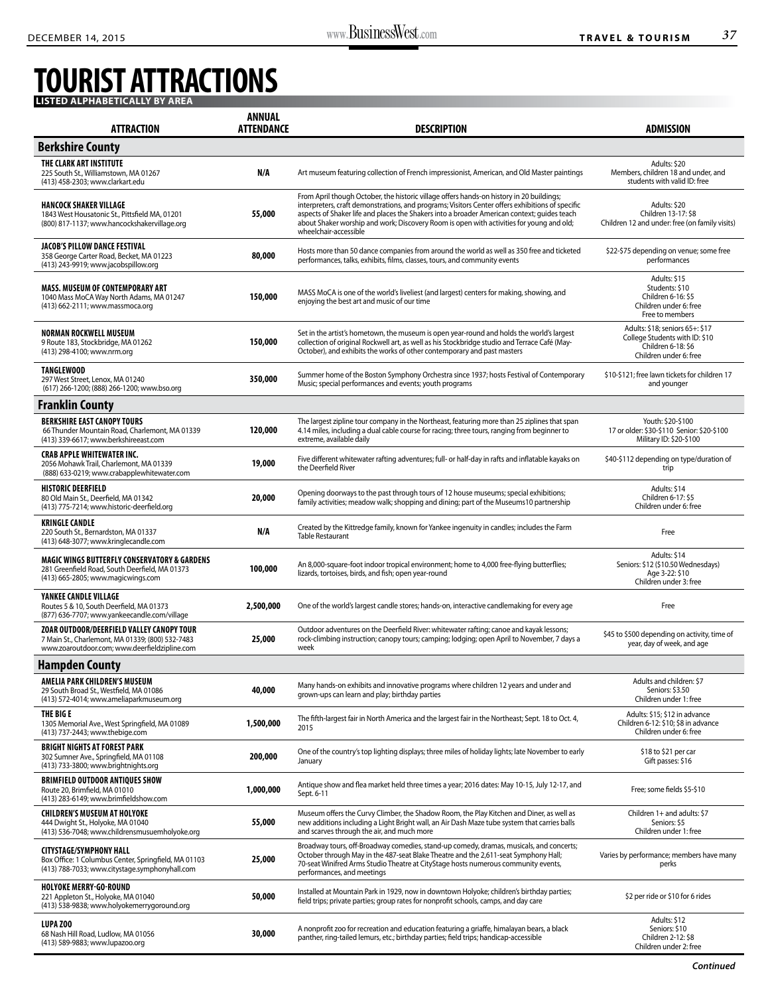## **TOURIST ATTRACTIONS LISTED ALPHABETICALLY BY AREA**

| <b>ATTRACTION</b>                                                                                                                               | <b>ANNUAL</b><br><b>ATTENDANCE</b> | <b>DESCRIPTION</b>                                                                                                                                                                                                                                                                                                                                                                                               | <b>ADMISSION</b>                                                                                                  |
|-------------------------------------------------------------------------------------------------------------------------------------------------|------------------------------------|------------------------------------------------------------------------------------------------------------------------------------------------------------------------------------------------------------------------------------------------------------------------------------------------------------------------------------------------------------------------------------------------------------------|-------------------------------------------------------------------------------------------------------------------|
| <b>Berkshire County</b>                                                                                                                         |                                    |                                                                                                                                                                                                                                                                                                                                                                                                                  |                                                                                                                   |
| THE CLARK ART INSTITUTE                                                                                                                         |                                    |                                                                                                                                                                                                                                                                                                                                                                                                                  | Adults: \$20                                                                                                      |
| 225 South St., Williamstown, MA 01267<br>(413) 458-2303; www.clarkart.edu                                                                       | N/A                                | Art museum featuring collection of French impressionist, American, and Old Master paintings                                                                                                                                                                                                                                                                                                                      | Members, children 18 and under, and<br>students with valid ID: free                                               |
| <b>HANCOCK SHAKER VILLAGE</b><br>1843 West Housatonic St., Pittsfield MA, 01201<br>(800) 817-1137; www.hancockshakervillage.org                 | 55,000                             | From April though October, the historic village offers hands-on history in 20 buildings;<br>interpreters, craft demonstrations, and programs; Visitors Center offers exhibitions of specific<br>aspects of Shaker life and places the Shakers into a broader American context; guides teach<br>about Shaker worship and work; Discovery Room is open with activities for young and old;<br>wheelchair-accessible | Adults: \$20<br>Children 13-17: \$8<br>Children 12 and under: free (on family visits)                             |
| <b>JACOB'S PILLOW DANCE FESTIVAL</b><br>358 George Carter Road, Becket, MA 01223<br>(413) 243-9919; www.jacobspillow.org                        | 80,000                             | Hosts more than 50 dance companies from around the world as well as 350 free and ticketed<br>performances, talks, exhibits, films, classes, tours, and community events                                                                                                                                                                                                                                          | \$22-\$75 depending on venue; some free<br>performances                                                           |
| <b>MASS. MUSEUM OF CONTEMPORARY ART</b><br>1040 Mass MoCA Way North Adams, MA 01247<br>(413) 662-2111; www.massmoca.org                         | 150,000                            | MASS MoCA is one of the world's liveliest (and largest) centers for making, showing, and<br>enjoying the best art and music of our time                                                                                                                                                                                                                                                                          | Adults: \$15<br>Students: \$10<br>Children 6-16: \$5<br>Children under 6: free<br>Free to members                 |
| NORMAN ROCKWELL MUSEUM<br>9 Route 183, Stockbridge, MA 01262<br>(413) 298-4100; www.nrm.org                                                     | 150,000                            | Set in the artist's hometown, the museum is open year-round and holds the world's largest<br>collection of original Rockwell art, as well as his Stockbridge studio and Terrace Café (May-<br>October), and exhibits the works of other contemporary and past masters                                                                                                                                            | Adults: \$18; seniors 65+: \$17<br>College Students with ID: \$10<br>Children 6-18: \$6<br>Children under 6: free |
| <b>TANGLEWOOD</b><br>297 West Street, Lenox, MA 01240<br>(617) 266-1200; (888) 266-1200; www.bso.org                                            | 350,000                            | Summer home of the Boston Symphony Orchestra since 1937; hosts Festival of Contemporary<br>Music; special performances and events; youth programs                                                                                                                                                                                                                                                                | \$10-\$121; free lawn tickets for children 17<br>and younger                                                      |
| <b>Franklin County</b>                                                                                                                          |                                    |                                                                                                                                                                                                                                                                                                                                                                                                                  |                                                                                                                   |
| <b>BERKSHIRE EAST CANOPY TOURS</b><br>66 Thunder Mountain Road, Charlemont, MA 01339<br>(413) 339-6617; www.berkshireeast.com                   | 120,000                            | The largest zipline tour company in the Northeast, featuring more than 25 ziplines that span<br>4.14 miles, including a dual cable course for racing; three tours, ranging from beginner to<br>extreme, available daily                                                                                                                                                                                          | Youth: \$20-\$100<br>17 or older: \$30-\$110 Senior: \$20-\$100<br>Military ID: \$20-\$100                        |
| <b>CRAB APPLE WHITEWATER INC.</b><br>2056 Mohawk Trail, Charlemont, MA 01339<br>(888) 633-0219; www.crabapplewhitewater.com                     | 19,000                             | Five different whitewater rafting adventures; full- or half-day in rafts and inflatable kayaks on<br>the Deerfield River                                                                                                                                                                                                                                                                                         | \$40-\$112 depending on type/duration of<br>trip                                                                  |
| <b>HISTORIC DEERFIELD</b><br>80 Old Main St., Deerfield, MA 01342<br>(413) 775-7214; www.historic-deerfield.org                                 | 20,000                             | Opening doorways to the past through tours of 12 house museums; special exhibitions;<br>family activities; meadow walk; shopping and dining; part of the Museums10 partnership                                                                                                                                                                                                                                   | Adults: \$14<br>Children 6-17: \$5<br>Children under 6: free                                                      |
| <b>KRINGLE CANDLE</b><br>220 South St., Bernardston, MA 01337<br>(413) 648-3077; www.kringlecandle.com                                          | N/A                                | Created by the Kittredge family, known for Yankee ingenuity in candles; includes the Farm<br><b>Table Restaurant</b>                                                                                                                                                                                                                                                                                             | Free                                                                                                              |
| <b>MAGIC WINGS BUTTERFLY CONSERVATORY &amp; GARDENS</b><br>281 Greenfield Road, South Deerfield, MA 01373<br>(413) 665-2805; www.magicwings.com | 100,000                            | An 8,000-square-foot indoor tropical environment; home to 4,000 free-flying butterflies;<br>lizards, tortoises, birds, and fish; open year-round                                                                                                                                                                                                                                                                 | Adults: \$14<br>Seniors: \$12 (\$10.50 Wednesdays)<br>Age 3-22: \$10<br>Children under 3: free                    |
| <b>YANKEE CANDLE VILLAGE</b><br>Routes 5 & 10, South Deerfield, MA 01373<br>(877) 636-7707; www.yankeecandle.com/village                        | 2,500,000                          | One of the world's largest candle stores; hands-on, interactive candlemaking for every age                                                                                                                                                                                                                                                                                                                       | Free                                                                                                              |
| ZOAR OUTDOOR/DEERFIELD VALLEY CANOPY TOUR<br>7 Main St., Charlemont, MA 01339; (800) 532-7483<br>www.zoaroutdoor.com; www.deerfieldzipline.com  | 25,000                             | Outdoor adventures on the Deerfield River: whitewater rafting; canoe and kayak lessons;<br>rock-climbing instruction; canopy tours; camping; lodging; open April to November, 7 days a<br>week                                                                                                                                                                                                                   | \$45 to \$500 depending on activity, time of<br>year, day of week, and age                                        |
| <b>Hampden County</b>                                                                                                                           |                                    |                                                                                                                                                                                                                                                                                                                                                                                                                  |                                                                                                                   |
| <b>AMELIA PARK CHILDREN'S MUSEUM</b><br>29 South Broad St., Westfield, MA 01086<br>(413) 572-4014; www.ameliaparkmuseum.org                     | 40,000                             | Many hands-on exhibits and innovative programs where children 12 years and under and<br>grown-ups can learn and play; birthday parties                                                                                                                                                                                                                                                                           | Adults and children: \$7<br>Seniors: \$3.50<br>Children under 1: free                                             |
| THE BIG E<br>1305 Memorial Ave., West Springfield, MA 01089<br>(413) 737-2443; www.thebige.com                                                  | 1,500,000                          | The fifth-largest fair in North America and the largest fair in the Northeast; Sept. 18 to Oct. 4,<br>2015                                                                                                                                                                                                                                                                                                       | Adults: \$15; \$12 in advance<br>Children 6-12: \$10; \$8 in advance<br>Children under 6: free                    |
| <b>BRIGHT NIGHTS AT FOREST PARK</b><br>302 Sumner Ave., Springfield, MA 01108<br>(413) 733-3800; www.brightnights.org                           | 200,000                            | One of the country's top lighting displays; three miles of holiday lights; late November to early<br>January                                                                                                                                                                                                                                                                                                     | \$18 to \$21 per car<br>Gift passes: \$16                                                                         |
| <b>BRIMFIELD OUTDOOR ANTIQUES SHOW</b><br>Route 20, Brimfield, MA 01010<br>(413) 283-6149; www.brimfieldshow.com                                | 1,000,000                          | Antique show and flea market held three times a year; 2016 dates: May 10-15, July 12-17, and<br>Sept. 6-11                                                                                                                                                                                                                                                                                                       | Free; some fields \$5-\$10                                                                                        |
| <b>CHILDREN'S MUSEUM AT HOLYOKE</b><br>444 Dwight St., Holyoke, MA 01040<br>(413) 536-7048; www.childrensmusuemholyoke.org                      | 55,000                             | Museum offers the Curvy Climber, the Shadow Room, the Play Kitchen and Diner, as well as<br>new additions including a Light Bright wall, an Air Dash Maze tube system that carries balls<br>and scarves through the air, and much more                                                                                                                                                                           | Children 1+ and adults: \$7<br>Seniors: \$5<br>Children under 1: free                                             |
| <b>CITYSTAGE/SYMPHONY HALL</b><br>Box Office: 1 Columbus Center, Springfield, MA 01103<br>(413) 788-7033; www.citystage.symphonyhall.com        | 25,000                             | Broadway tours, off-Broadway comedies, stand-up comedy, dramas, musicals, and concerts;<br>October through May in the 487-seat Blake Theatre and the 2,611-seat Symphony Hall;<br>70-seat Winifred Arms Studio Theatre at CityStage hosts numerous community events,<br>performances, and meetings                                                                                                               | Varies by performance; members have many<br>perks                                                                 |
| <b>HOLYOKE MERRY-GO-ROUND</b><br>221 Appleton St., Holyoke, MA 01040<br>(413) 538-9838; www.holyokemerrygoround.org                             | 50,000                             | Installed at Mountain Park in 1929, now in downtown Holyoke; children's birthday parties;<br>field trips; private parties; group rates for nonprofit schools, camps, and day care                                                                                                                                                                                                                                | \$2 per ride or \$10 for 6 rides                                                                                  |
| LUPA ZOO<br>68 Nash Hill Road, Ludlow, MA 01056<br>(413) 589-9883; www.lupazoo.org                                                              | 30,000                             | A nonprofit zoo for recreation and education featuring a griaffe, himalayan bears, a black<br>panther, ring-tailed lemurs, etc.; birthday parties; field trips; handicap-accessible                                                                                                                                                                                                                              | Adults: \$12<br>Seniors: \$10<br>Children 2-12: \$8<br>Children under 2: free                                     |

*Continued*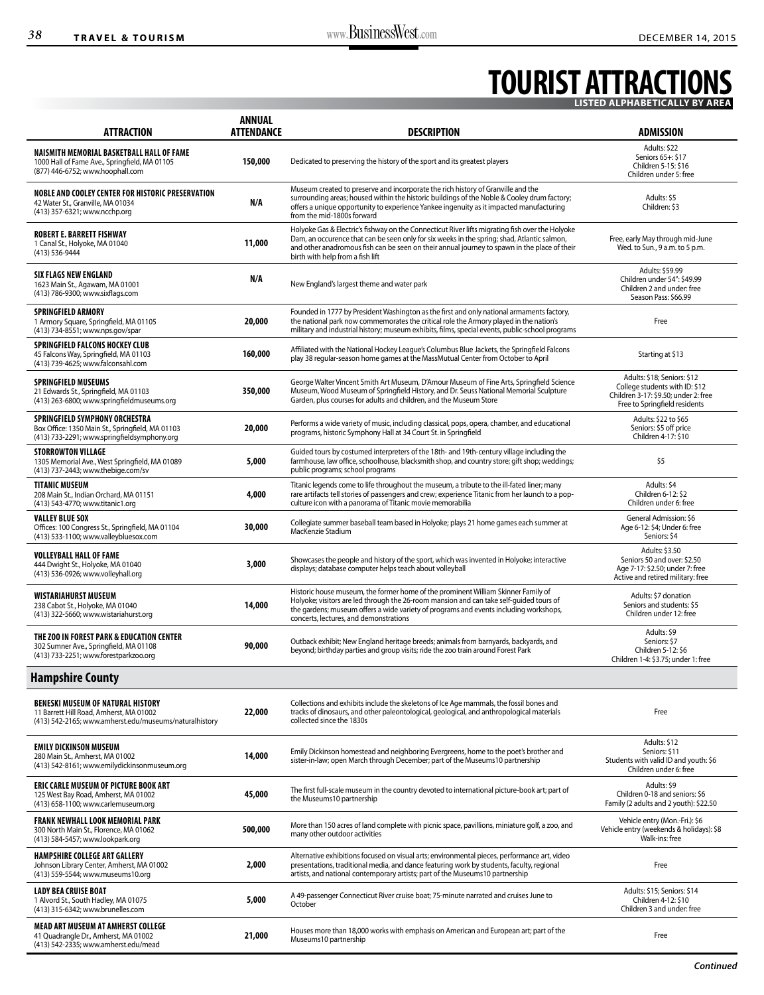## **TOURIST ATTRACTIONS LISTED ALPHABETICALLY BY AREA**

| <b>ATTRACTION</b>                                                                                                                             | <b>ANNUAL</b><br><b>ATTENDANCE</b> | <b>DESCRIPTION</b>                                                                                                                                                                                                                                                                                                                 | <b>ADMISSION</b>                                                                                                                       |
|-----------------------------------------------------------------------------------------------------------------------------------------------|------------------------------------|------------------------------------------------------------------------------------------------------------------------------------------------------------------------------------------------------------------------------------------------------------------------------------------------------------------------------------|----------------------------------------------------------------------------------------------------------------------------------------|
| NAISMITH MEMORIAL BASKETBALL HALL OF FAME<br>1000 Hall of Fame Ave., Springfield, MA 01105<br>(877) 446-6752; www.hoophall.com                | 150,000                            | Dedicated to preserving the history of the sport and its greatest players                                                                                                                                                                                                                                                          | Adults: \$22<br>Seniors 65+: \$17<br>Children 5-15: \$16<br>Children under 5: free                                                     |
| NOBLE AND COOLEY CENTER FOR HISTORIC PRESERVATION<br>42 Water St., Granville, MA 01034<br>(413) 357-6321; www.ncchp.org                       | N/A                                | Museum created to preserve and incorporate the rich history of Granville and the<br>surrounding areas; housed within the historic buildings of the Noble & Cooley drum factory;<br>offers a unique opportunity to experience Yankee ingenuity as it impacted manufacturing<br>from the mid-1800s forward                           | Adults: \$5<br>Children: \$3                                                                                                           |
| <b>ROBERT E. BARRETT FISHWAY</b><br>1 Canal St., Holyoke, MA 01040<br>(413) 536-9444                                                          | 11,000                             | Holyoke Gas & Electric's fishway on the Connecticut River lifts migrating fish over the Holyoke<br>Dam, an occurence that can be seen only for six weeks in the spring; shad, Atlantic salmon,<br>and other anadromous fish can be seen on their annual journey to spawn in the place of their<br>birth with help from a fish lift | Free, early May through mid-June<br>Wed. to Sun., 9 a.m. to 5 p.m.                                                                     |
| <b>SIX FLAGS NEW ENGLAND</b><br>1623 Main St., Agawam, MA 01001<br>(413) 786-9300; www.sixflags.com                                           | N/A                                | New England's largest theme and water park                                                                                                                                                                                                                                                                                         | Adults: \$59.99<br>Children under 54": \$49.99<br>Children 2 and under: free<br>Season Pass: \$66.99                                   |
| SPRINGFIELD ARMORY<br>1 Armory Square, Springfield, MA 01105<br>(413) 734-8551; www.nps.gov/spar                                              | 20,000                             | Founded in 1777 by President Washington as the first and only national armaments factory,<br>the national park now commemorates the critical role the Armory played in the nation's<br>military and industrial history; museum exhibits, films, special events, public-school programs                                             | Free                                                                                                                                   |
| SPRINGFIELD FALCONS HOCKEY CLUB<br>45 Falcons Way, Springfield, MA 01103<br>(413) 739-4625; www.falconsahl.com                                | 160,000                            | Affiliated with the National Hockey League's Columbus Blue Jackets, the Springfield Falcons<br>play 38 regular-season home games at the MassMutual Center from October to April                                                                                                                                                    | Starting at \$13                                                                                                                       |
| SPRINGFIELD MUSEUMS<br>21 Edwards St., Springfield, MA 01103<br>(413) 263-6800; www.springfieldmuseums.org                                    | 350,000                            | George Walter Vincent Smith Art Museum, D'Amour Museum of Fine Arts, Springfield Science<br>Museum, Wood Museum of Springfield History, and Dr. Seuss National Memorial Sculpture<br>Garden, plus courses for adults and children, and the Museum Store                                                                            | Adults: \$18; Seniors: \$12<br>College students with ID: \$12<br>Children 3-17: \$9.50; under 2: free<br>Free to Springfield residents |
| SPRINGFIELD SYMPHONY ORCHESTRA<br>Box Office: 1350 Main St., Springfield, MA 01103<br>(413) 733-2291; www.springfieldsymphony.org             | 20,000                             | Performs a wide variety of music, including classical, pops, opera, chamber, and educational<br>programs, historic Symphony Hall at 34 Court St. in Springfield                                                                                                                                                                    | Adults: \$22 to \$65<br>Seniors: \$5 off price<br>Children 4-17: \$10                                                                  |
| <b>STORROWTON VILLAGE</b><br>1305 Memorial Ave., West Springfield, MA 01089<br>(413) 737-2443; www.thebige.com/sv                             | 5,000                              | Guided tours by costumed interpreters of the 18th- and 19th-century village including the<br>farmhouse, law office, schoolhouse, blacksmith shop, and country store; gift shop; weddings;<br>public programs; school programs                                                                                                      | \$5                                                                                                                                    |
| <b>TITANIC MUSEUM</b><br>208 Main St., Indian Orchard, MA 01151<br>(413) 543-4770; www.titanic1.org                                           | 4,000                              | Titanic legends come to life throughout the museum, a tribute to the ill-fated liner; many<br>rare artifacts tell stories of passengers and crew; experience Titanic from her launch to a pop-<br>culture icon with a panorama of Titanic movie memorabilia                                                                        | Adults: \$4<br>Children 6-12: \$2<br>Children under 6: free                                                                            |
| <b>VALLEY BLUE SOX</b><br>Offices: 100 Congress St., Springfield, MA 01104<br>(413) 533-1100; www.valleybluesox.com                           | 30,000                             | Collegiate summer baseball team based in Holyoke; plays 21 home games each summer at<br>MacKenzie Stadium                                                                                                                                                                                                                          | General Admission: \$6<br>Age 6-12: \$4; Under 6: free<br>Seniors: \$4                                                                 |
| <b>VOLLEYBALL HALL OF FAME</b><br>444 Dwight St., Holyoke, MA 01040<br>(413) 536-0926; www.volleyhall.org                                     | 3,000                              | Showcases the people and history of the sport, which was invented in Holyoke; interactive<br>displays; database computer helps teach about volleyball                                                                                                                                                                              | Adults: \$3.50<br>Seniors 50 and over: \$2.50<br>Age 7-17: \$2.50; under 7: free<br>Active and retired military: free                  |
| <b>WISTARIAHURST MUSEUM</b><br>238 Cabot St., Holyoke, MA 01040<br>(413) 322-5660; www.wistariahurst.org                                      | 14,000                             | Historic house museum, the former home of the prominent William Skinner Family of<br>Holyoke; visitors are led through the 26-room mansion and can take self-guided tours of<br>the gardens; museum offers a wide variety of programs and events including workshops,<br>concerts, lectures, and demonstrations                    | Adults: \$7 donation<br>Seniors and students: \$5<br>Children under 12: free                                                           |
| THE ZOO IN FOREST PARK & EDUCATION CENTER<br>302 Sumner Ave., Springfield, MA 01108<br>(413) 733-2251; www.forestparkzoo.org                  | 90,000                             | Outback exhibit; New England heritage breeds; animals from barnyards, backyards, and<br>beyond; birthday parties and group visits; ride the zoo train around Forest Park                                                                                                                                                           | Adults: \$9<br>Seniors: \$7<br>Children 5-12: \$6<br>Children 1-4: \$3.75; under 1: free                                               |
| <b>Hampshire County</b>                                                                                                                       |                                    |                                                                                                                                                                                                                                                                                                                                    |                                                                                                                                        |
| <b>BENESKI MUSEUM OF NATURAL HISTORY</b><br>11 Barrett Hill Road, Amherst, MA 01002<br>(413) 542-2165; www.amherst.edu/museums/naturalhistory | 22,000                             | Collections and exhibits include the skeletons of Ice Age mammals, the fossil bones and<br>tracks of dinosaurs, and other paleontological, geological, and anthropological materials<br>collected since the 1830s                                                                                                                  | Free                                                                                                                                   |
| <b>EMILY DICKINSON MUSEUM</b><br>280 Main St., Amherst, MA 01002<br>(413) 542-8161; www.emilydickinsonmuseum.org                              | 14,000                             | Emily Dickinson homestead and neighboring Evergreens, home to the poet's brother and<br>sister-in-law; open March through December; part of the Museums 10 partnership                                                                                                                                                             | Adults: \$12<br>Seniors: \$11<br>Students with valid ID and youth: \$6<br>Children under 6: free                                       |
| <b>ERIC CARLE MUSEUM OF PICTURE BOOK ART</b><br>125 West Bay Road, Amherst, MA 01002<br>(413) 658-1100; www.carlemuseum.org                   | 45,000                             | The first full-scale museum in the country devoted to international picture-book art; part of<br>the Museums10 partnership                                                                                                                                                                                                         | Adults: \$9<br>Children 0-18 and seniors: \$6<br>Family (2 adults and 2 youth): \$22.50                                                |
| <b>FRANK NEWHALL LOOK MEMORIAL PARK</b><br>300 North Main St., Florence, MA 01062<br>(413) 584-5457; www.lookpark.org                         | 500,000                            | More than 150 acres of land complete with picnic space, pavillions, miniature golf, a zoo, and<br>many other outdoor activities                                                                                                                                                                                                    | Vehicle entry (Mon.-Fri.): \$6<br>Vehicle entry (weekends & holidays): \$8<br>Walk-ins: free                                           |
| <b>HAMPSHIRE COLLEGE ART GALLERY</b><br>Johnson Library Center, Amherst, MA 01002<br>(413) 559-5544; www.museums10.org                        | 2,000                              | Alternative exhibitions focused on visual arts; environmental pieces, performance art, video<br>presentations, traditional media, and dance featuring work by students, faculty, regional<br>artists, and national contemporary artists; part of the Museums10 partnership                                                         | Free                                                                                                                                   |
| <b>LADY BEA CRUISE BOAT</b><br>1 Alvord St., South Hadley, MA 01075<br>(413) 315-6342; www.brunelles.com                                      | 5,000                              | A 49-passenger Connecticut River cruise boat; 75-minute narrated and cruises June to<br>October                                                                                                                                                                                                                                    | Adults: \$15; Seniors: \$14<br>Children 4-12: \$10<br>Children 3 and under: free                                                       |
| MEAD ART MUSEUM AT AMHERST COLLEGE<br>41 Quadrangle Dr., Amherst, MA 01002<br>(413) 542-2335; www.amherst.edu/mead                            | 21,000                             | Houses more than 18,000 works with emphasis on American and European art; part of the<br>Museums10 partnership                                                                                                                                                                                                                     | Free                                                                                                                                   |